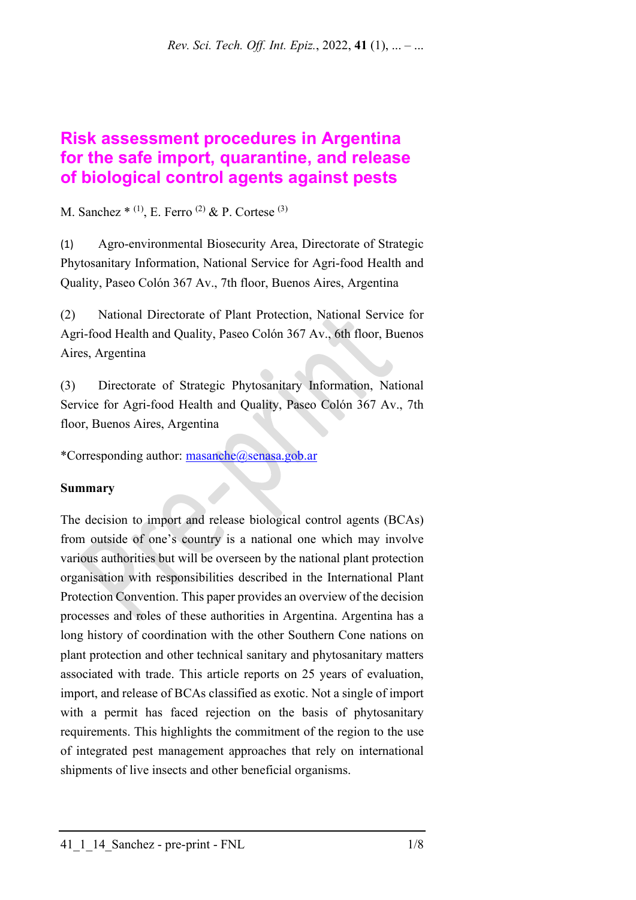# **Risk assessment procedures in Argentina for the safe import, quarantine, and release of biological control agents against pests**

## M. Sanchez  $*$  (1), E. Ferro <sup>(2)</sup> & P. Cortese <sup>(3)</sup>

(1) Agro-environmental Biosecurity Area, Directorate of Strategic Phytosanitary Information, National Service for Agri-food Health and Quality, Paseo Colón 367 Av., 7th floor, Buenos Aires, Argentina

(2) National Directorate of Plant Protection, National Service for Agri-food Health and Quality, Paseo Colón 367 Av., 6th floor, Buenos Aires, Argentina

(3) Directorate of Strategic Phytosanitary Information, National Service for Agri-food Health and Quality, Paseo Colón 367 Av., 7th floor, Buenos Aires, Argentina

\*Corresponding author: [masanche@senasa.gob.ar](mailto:masanche@senasa.gob.ar)

## **Summary**

The decision to import and release biological control agents (BCAs) from outside of one's country is a national one which may involve various authorities but will be overseen by the national plant protection organisation with responsibilities described in the International Plant Protection Convention. This paper provides an overview of the decision processes and roles of these authorities in Argentina. Argentina has a long history of coordination with the other Southern Cone nations on plant protection and other technical sanitary and phytosanitary matters associated with trade. This article reports on 25 years of evaluation, import, and release of BCAs classified as exotic. Not a single of import with a permit has faced rejection on the basis of phytosanitary requirements. This highlights the commitment of the region to the use of integrated pest management approaches that rely on international shipments of live insects and other beneficial organisms.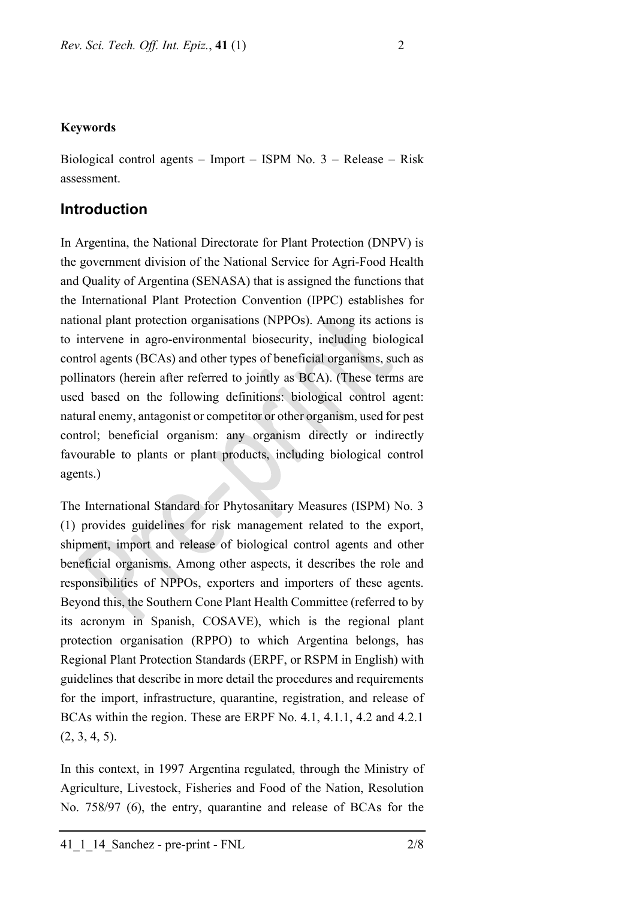#### **Keywords**

Biological control agents – Import – ISPM No. 3 – Release – Risk assessment.

## **Introduction**

In Argentina, the National Directorate for Plant Protection (DNPV) is the government division of the National Service for Agri-Food Health and Quality of Argentina (SENASA) that is assigned the functions that the International Plant Protection Convention (IPPC) establishes for national plant protection organisations (NPPOs). Among its actions is to intervene in agro-environmental biosecurity, including biological control agents (BCAs) and other types of beneficial organisms, such as pollinators (herein after referred to jointly as BCA). (These terms are used based on the following definitions: biological control agent: natural enemy, antagonist or competitor or other organism, used for pest control; beneficial organism: any organism directly or indirectly favourable to plants or plant products, including biological control agents.)

The International Standard for Phytosanitary Measures (ISPM) No. 3 (1) provides guidelines for risk management related to the export, shipment, import and release of biological control agents and other beneficial organisms. Among other aspects, it describes the role and responsibilities of NPPOs, exporters and importers of these agents. Beyond this, the Southern Cone Plant Health Committee (referred to by its acronym in Spanish, COSAVE), which is the regional plant protection organisation (RPPO) to which Argentina belongs, has Regional Plant Protection Standards (ERPF, or RSPM in English) with guidelines that describe in more detail the procedures and requirements for the import, infrastructure, quarantine, registration, and release of BCAs within the region. These are ERPF No. 4.1, 4.1.1, 4.2 and 4.2.1  $(2, 3, 4, 5)$ .

In this context, in 1997 Argentina regulated, through the Ministry of Agriculture, Livestock, Fisheries and Food of the Nation, Resolution No. 758/97 (6), the entry, quarantine and release of BCAs for the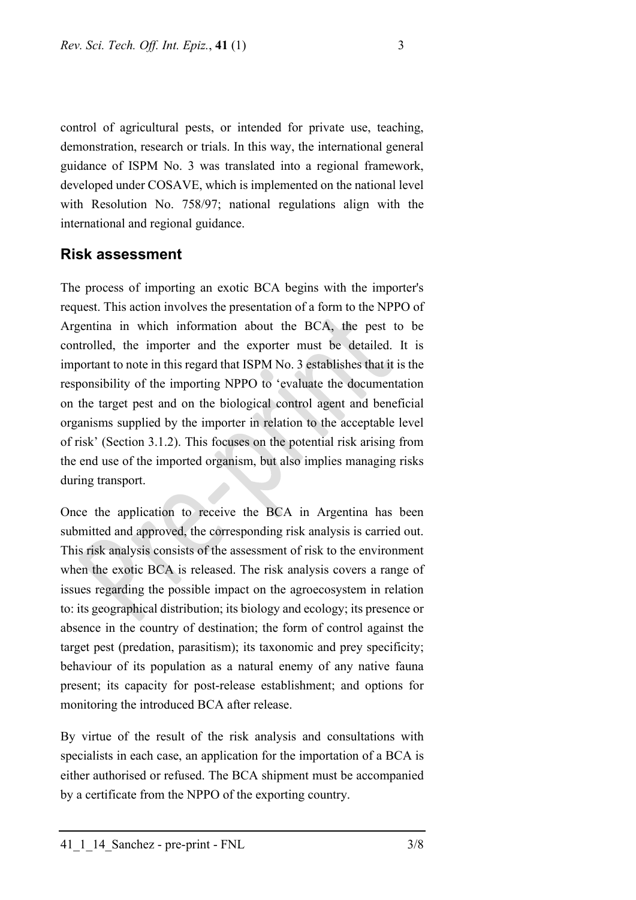control of agricultural pests, or intended for private use, teaching, demonstration, research or trials. In this way, the international general guidance of ISPM No. 3 was translated into a regional framework, developed under COSAVE, which is implemented on the national level with Resolution No. 758/97; national regulations align with the international and regional guidance.

### **Risk assessment**

The process of importing an exotic BCA begins with the importer's request. This action involves the presentation of a form to the NPPO of Argentina in which information about the BCA, the pest to be controlled, the importer and the exporter must be detailed. It is important to note in this regard that ISPM No. 3 establishes that it is the responsibility of the importing NPPO to 'evaluate the documentation on the target pest and on the biological control agent and beneficial organisms supplied by the importer in relation to the acceptable level of risk' (Section 3.1.2). This focuses on the potential risk arising from the end use of the imported organism, but also implies managing risks during transport.

Once the application to receive the BCA in Argentina has been submitted and approved, the corresponding risk analysis is carried out. This risk analysis consists of the assessment of risk to the environment when the exotic BCA is released. The risk analysis covers a range of issues regarding the possible impact on the agroecosystem in relation to: its geographical distribution; its biology and ecology; its presence or absence in the country of destination; the form of control against the target pest (predation, parasitism); its taxonomic and prey specificity; behaviour of its population as a natural enemy of any native fauna present; its capacity for post-release establishment; and options for monitoring the introduced BCA after release.

By virtue of the result of the risk analysis and consultations with specialists in each case, an application for the importation of a BCA is either authorised or refused. The BCA shipment must be accompanied by a certificate from the NPPO of the exporting country.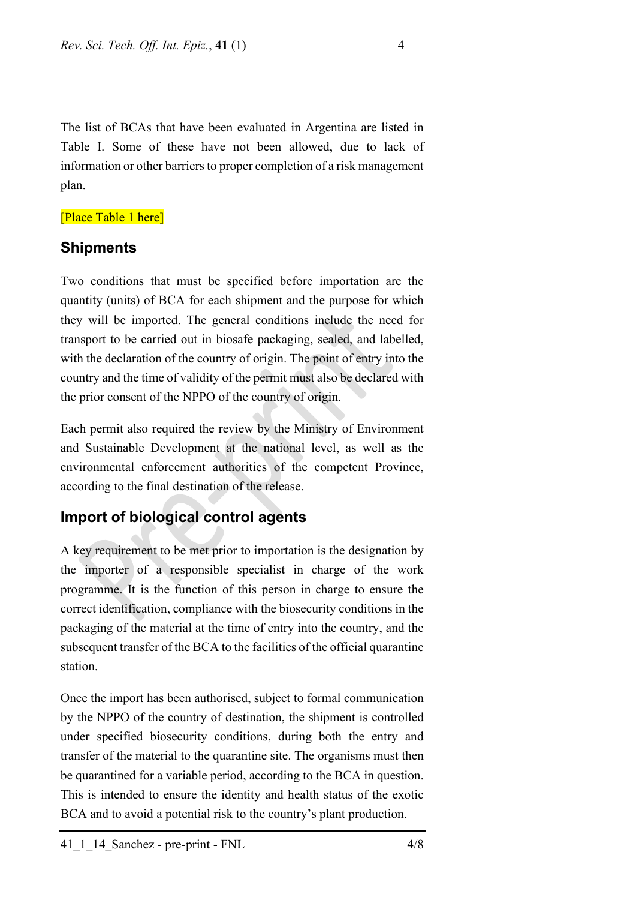The list of BCAs that have been evaluated in Argentina are listed in Table I. Some of these have not been allowed, due to lack of information or other barriers to proper completion of a risk management plan.

#### [Place Table 1 here]

#### **Shipments**

Two conditions that must be specified before importation are the quantity (units) of BCA for each shipment and the purpose for which they will be imported. The general conditions include the need for transport to be carried out in biosafe packaging, sealed, and labelled, with the declaration of the country of origin. The point of entry into the country and the time of validity of the permit must also be declared with the prior consent of the NPPO of the country of origin.

Each permit also required the review by the Ministry of Environment and Sustainable Development at the national level, as well as the environmental enforcement authorities of the competent Province, according to the final destination of the release.

## **Import of biological control agents**

A key requirement to be met prior to importation is the designation by the importer of a responsible specialist in charge of the work programme. It is the function of this person in charge to ensure the correct identification, compliance with the biosecurity conditions in the packaging of the material at the time of entry into the country, and the subsequent transfer of the BCA to the facilities of the official quarantine station.

Once the import has been authorised, subject to formal communication by the NPPO of the country of destination, the shipment is controlled under specified biosecurity conditions, during both the entry and transfer of the material to the quarantine site. The organisms must then be quarantined for a variable period, according to the BCA in question. This is intended to ensure the identity and health status of the exotic BCA and to avoid a potential risk to the country's plant production.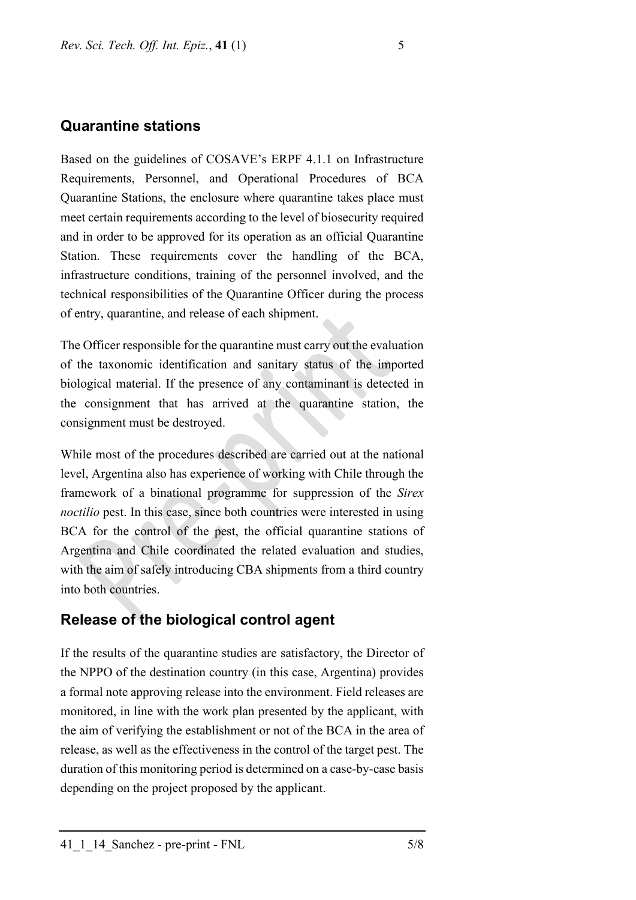## **Quarantine stations**

Based on the guidelines of COSAVE's ERPF 4.1.1 on Infrastructure Requirements, Personnel, and Operational Procedures of BCA Quarantine Stations, the enclosure where quarantine takes place must meet certain requirements according to the level of biosecurity required and in order to be approved for its operation as an official Quarantine Station. These requirements cover the handling of the BCA, infrastructure conditions, training of the personnel involved, and the technical responsibilities of the Quarantine Officer during the process of entry, quarantine, and release of each shipment.

The Officer responsible for the quarantine must carry out the evaluation of the taxonomic identification and sanitary status of the imported biological material. If the presence of any contaminant is detected in the consignment that has arrived at the quarantine station, the consignment must be destroyed.

While most of the procedures described are carried out at the national level, Argentina also has experience of working with Chile through the framework of a binational programme for suppression of the *Sirex noctilio* pest. In this case, since both countries were interested in using BCA for the control of the pest, the official quarantine stations of Argentina and Chile coordinated the related evaluation and studies, with the aim of safely introducing CBA shipments from a third country into both countries.

## **Release of the biological control agent**

If the results of the quarantine studies are satisfactory, the Director of the NPPO of the destination country (in this case, Argentina) provides a formal note approving release into the environment. Field releases are monitored, in line with the work plan presented by the applicant, with the aim of verifying the establishment or not of the BCA in the area of release, as well as the effectiveness in the control of the target pest. The duration of this monitoring period is determined on a case-by-case basis depending on the project proposed by the applicant.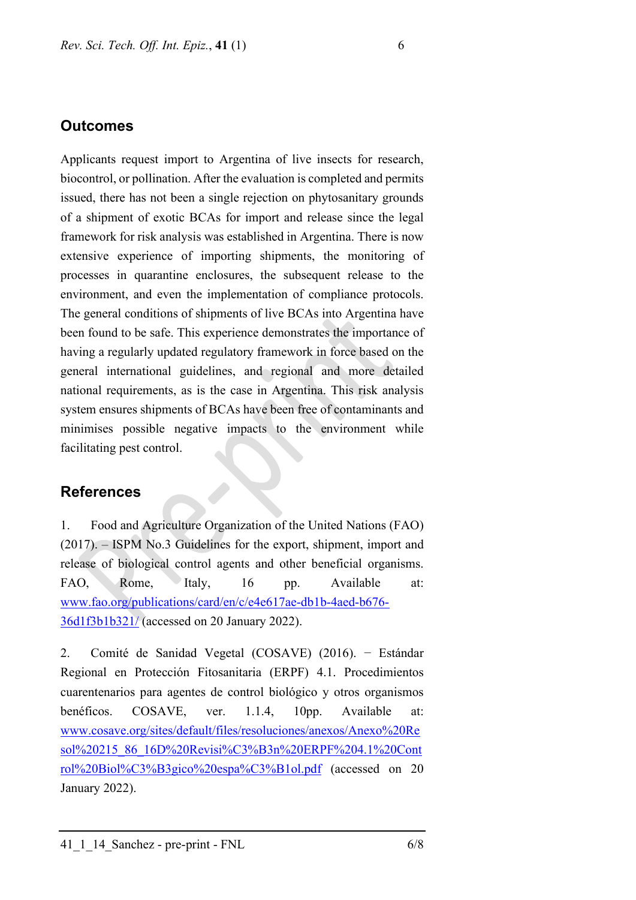#### **Outcomes**

Applicants request import to Argentina of live insects for research, biocontrol, or pollination. After the evaluation is completed and permits issued, there has not been a single rejection on phytosanitary grounds of a shipment of exotic BCAs for import and release since the legal framework for risk analysis was established in Argentina. There is now extensive experience of importing shipments, the monitoring of processes in quarantine enclosures, the subsequent release to the environment, and even the implementation of compliance protocols. The general conditions of shipments of live BCAs into Argentina have been found to be safe. This experience demonstrates the importance of having a regularly updated regulatory framework in force based on the general international guidelines, and regional and more detailed national requirements, as is the case in Argentina. This risk analysis system ensures shipments of BCAs have been free of contaminants and minimises possible negative impacts to the environment while facilitating pest control.

## **References**

1. Food and Agriculture Organization of the United Nations (FAO) (2017). – ISPM No.3 Guidelines for the export, shipment, import and release of biological control agents and other beneficial organisms. FAO, Rome, Italy, 16 pp. Available at: [www.fao.org/publications/card/en/c/e4e617ae-db1b-4aed-b676-](http://www.fao.org/publications/card/en/c/e4e617ae-db1b-4aed-b676-36d1f3b1b321/) [36d1f3b1b321/](http://www.fao.org/publications/card/en/c/e4e617ae-db1b-4aed-b676-36d1f3b1b321/) (accessed on 20 January 2022).

2. Comité de Sanidad Vegetal (COSAVE) (2016). − Estándar Regional en Protección Fitosanitaria (ERPF) 4.1. Procedimientos cuarentenarios para agentes de control biológico y otros organismos benéficos. COSAVE, ver. 1.1.4, 10pp. Available at: [www.cosave.org/sites/default/files/resoluciones/anexos/Anexo%20Re](http://www.cosave.org/sites/default/files/resoluciones/anexos/Anexo%20Resol%20215_86_16D%20Revisi%C3%B3n%20ERPF%204.1%20Control%20Biol%C3%B3gico%20espa%C3%B1ol.pdf) [sol%20215\\_86\\_16D%20Revisi%C3%B3n%20ERPF%204.1%20Cont](http://www.cosave.org/sites/default/files/resoluciones/anexos/Anexo%20Resol%20215_86_16D%20Revisi%C3%B3n%20ERPF%204.1%20Control%20Biol%C3%B3gico%20espa%C3%B1ol.pdf) [rol%20Biol%C3%B3gico%20espa%C3%B1ol.pdf](http://www.cosave.org/sites/default/files/resoluciones/anexos/Anexo%20Resol%20215_86_16D%20Revisi%C3%B3n%20ERPF%204.1%20Control%20Biol%C3%B3gico%20espa%C3%B1ol.pdf) (accessed on 20 January 2022).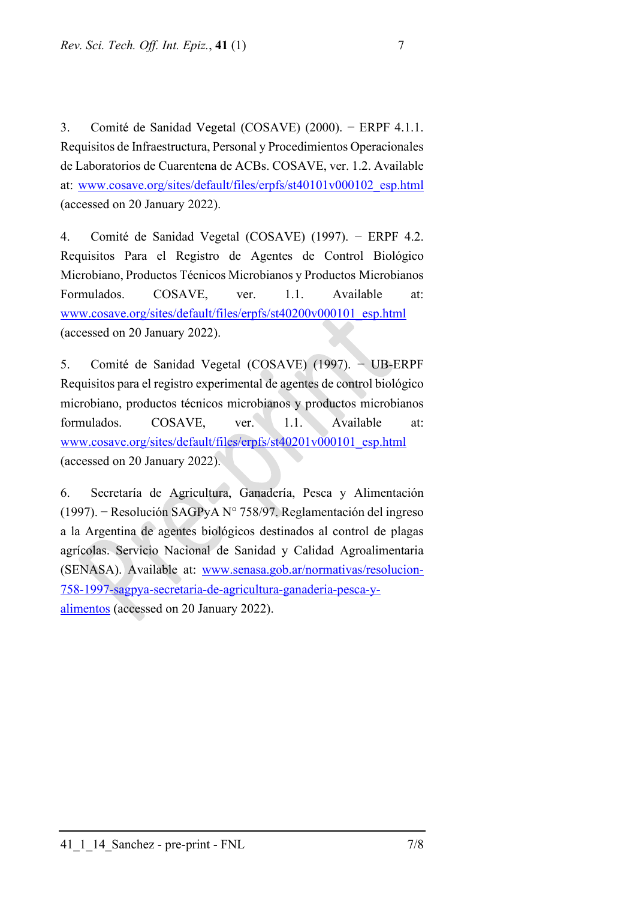3. Comité de Sanidad Vegetal (COSAVE) (2000). − ERPF 4.1.1. Requisitos de Infraestructura, Personal y Procedimientos Operacionales de Laboratorios de Cuarentena de ACBs. COSAVE, ver. 1.2. Available at: [www.cosave.org/sites/default/files/erpfs/st40101v000102\\_esp.html](http://www.cosave.org/sites/default/files/erpfs/st40101v000102_esp.html) (accessed on 20 January 2022).

4. Comité de Sanidad Vegetal (COSAVE) (1997). − ERPF 4.2. Requisitos Para el Registro de Agentes de Control Biológico Microbiano, Productos Técnicos Microbianos y Productos Microbianos Formulados. COSAVE, ver. 1.1. Available at: [www.cosave.org/sites/default/files/erpfs/st40200v000101\\_esp.html](http://www.cosave.org/sites/default/files/erpfs/st40200v000101_esp.html) (accessed on 20 January 2022).

5. Comité de Sanidad Vegetal (COSAVE) (1997). − UB-ERPF Requisitos para el registro experimental de agentes de control biológico microbiano, productos técnicos microbianos y productos microbianos formulados. COSAVE, ver. 1.1. Available at: [www.cosave.org/sites/default/files/erpfs/st40201v000101\\_esp.html](http://www.cosave.org/sites/default/files/erpfs/st40201v000101_esp.html) (accessed on 20 January 2022).

6. Secretaría de Agricultura, Ganadería, Pesca y Alimentación (1997). − Resolución SAGPyA N° 758/97. Reglamentación del ingreso a la Argentina de agentes biológicos destinados al control de plagas agrícolas. Servicio Nacional de Sanidad y Calidad Agroalimentaria (SENASA). Available at: [www.senasa.gob.ar/normativas/resolucion-](http://www.senasa.gob.ar/normativas/resolucion-758-1997-sagpya-secretaria-de-agricultura-ganaderia-pesca-y-alimentos)[758-1997-sagpya-secretaria-de-agricultura-ganaderia-pesca-y](http://www.senasa.gob.ar/normativas/resolucion-758-1997-sagpya-secretaria-de-agricultura-ganaderia-pesca-y-alimentos)[alimentos](http://www.senasa.gob.ar/normativas/resolucion-758-1997-sagpya-secretaria-de-agricultura-ganaderia-pesca-y-alimentos) (accessed on 20 January 2022).